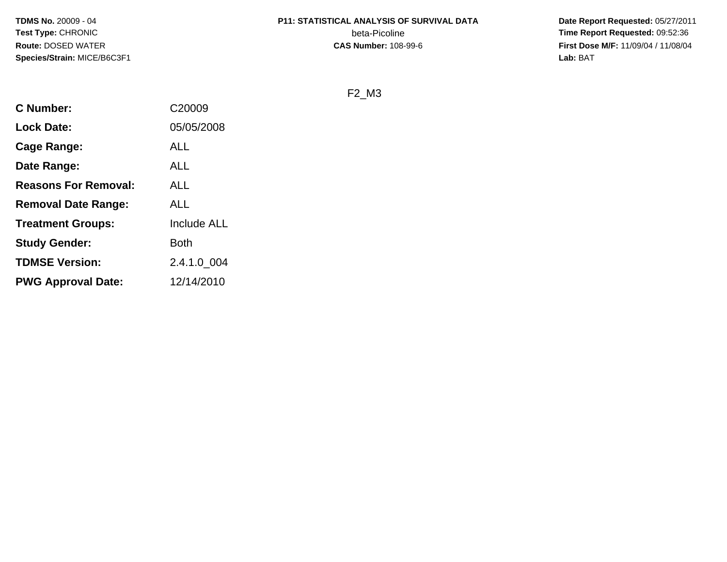**TDMS No.** 20009 - 04**Test Type:** CHRONIC**Route:** DOSED WATER**Species/Strain:** MICE/B6C3F1

# **P11: STATISTICAL ANALYSIS OF SURVIVAL DATA**

beta-Picoline<br>CAS Number: 108-99-6

 **Date Report Requested:** 05/27/2011 **Time Report Requested:** 09:52:36 **First Dose M/F:** 11/09/04 / 11/08/04<br>**Lab:** BAT **Lab:** BAT

# F2\_M3

| <b>C</b> Number:            | C <sub>20009</sub> |
|-----------------------------|--------------------|
| <b>Lock Date:</b>           | 05/05/2008         |
| Cage Range:                 | <b>ALL</b>         |
| Date Range:                 | <b>ALL</b>         |
| <b>Reasons For Removal:</b> | <b>ALL</b>         |
| <b>Removal Date Range:</b>  | <b>ALL</b>         |
| <b>Treatment Groups:</b>    | <b>Include ALL</b> |
| <b>Study Gender:</b>        | <b>Both</b>        |
| <b>TDMSE Version:</b>       | 2.4.1.0_004        |
| <b>PWG Approval Date:</b>   | 12/14/2010         |
|                             |                    |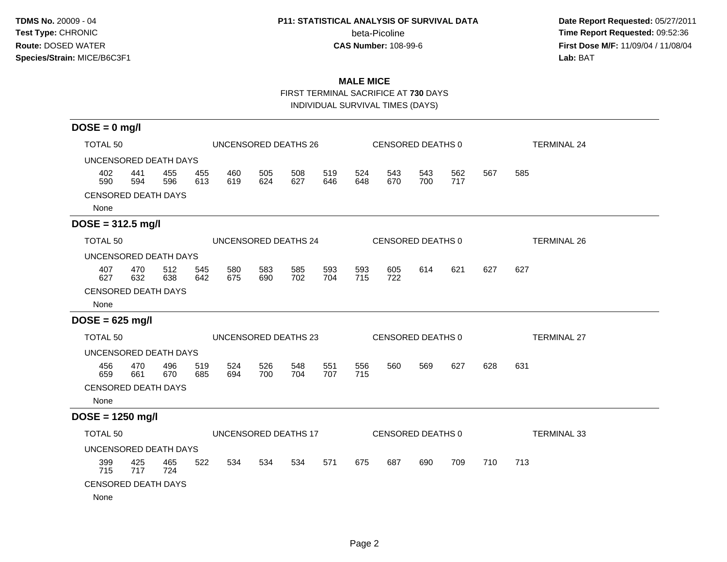### **P11: STATISTICAL ANALYSIS OF SURVIVAL DATA**

beta-Picoline<br>CAS Number: 108-99-6

 **Date Report Requested:** 05/27/2011 **Time Report Requested:** 09:52:36 **First Dose M/F:** 11/09/04 / 11/08/04<br>Lab: BAT **Lab:** BAT

# **MALE MICE**

FIRST TERMINAL SACRIFICE AT **730** DAYS

INDIVIDUAL SURVIVAL TIMES (DAYS)

| $DOSE = 0$ mg/l                    |            |                      |            |            |            |                      |            |            |            |                   |            |                    |                    |
|------------------------------------|------------|----------------------|------------|------------|------------|----------------------|------------|------------|------------|-------------------|------------|--------------------|--------------------|
| <b>TOTAL 50</b>                    |            | UNCENSORED DEATHS 26 |            |            |            |                      |            |            |            | CENSORED DEATHS 0 |            | <b>TERMINAL 24</b> |                    |
| UNCENSORED DEATH DAYS              |            |                      |            |            |            |                      |            |            |            |                   |            |                    |                    |
| 402<br>590                         | 441<br>594 | 455<br>596           | 455<br>613 | 460<br>619 | 505<br>624 | 508<br>627           | 519<br>646 | 524<br>648 | 543<br>670 | 543<br>700        | 562<br>717 | 567                | 585                |
| <b>CENSORED DEATH DAYS</b><br>None |            |                      |            |            |            |                      |            |            |            |                   |            |                    |                    |
| $DOSE = 312.5$ mg/l                |            |                      |            |            |            |                      |            |            |            |                   |            |                    |                    |
| <b>TOTAL 50</b>                    |            |                      |            |            |            | UNCENSORED DEATHS 24 |            |            |            | CENSORED DEATHS 0 |            |                    | <b>TERMINAL 26</b> |
| UNCENSORED DEATH DAYS              |            |                      |            |            |            |                      |            |            |            |                   |            |                    |                    |
| 407<br>627                         | 470<br>632 | 512<br>638           | 545<br>642 | 580<br>675 | 583<br>690 | 585<br>702           | 593<br>704 | 593<br>715 | 605<br>722 | 614               | 621        | 627                | 627                |
| <b>CENSORED DEATH DAYS</b><br>None |            |                      |            |            |            |                      |            |            |            |                   |            |                    |                    |
| $DOSE = 625$ mg/l                  |            |                      |            |            |            |                      |            |            |            |                   |            |                    |                    |
| <b>TOTAL 50</b>                    |            |                      |            |            |            | UNCENSORED DEATHS 23 |            |            |            | CENSORED DEATHS 0 |            |                    | <b>TERMINAL 27</b> |
| UNCENSORED DEATH DAYS              |            |                      |            |            |            |                      |            |            |            |                   |            |                    |                    |
| 456<br>659                         | 470<br>661 | 496<br>670           | 519<br>685 | 524<br>694 | 526<br>700 | 548<br>704           | 551<br>707 | 556<br>715 | 560        | 569               | 627        | 628                | 631                |
| <b>CENSORED DEATH DAYS</b><br>None |            |                      |            |            |            |                      |            |            |            |                   |            |                    |                    |
| $DOSE = 1250$ mg/l                 |            |                      |            |            |            |                      |            |            |            |                   |            |                    |                    |
| <b>TOTAL 50</b>                    |            |                      |            |            |            | UNCENSORED DEATHS 17 |            |            |            | CENSORED DEATHS 0 |            |                    | <b>TERMINAL 33</b> |
| UNCENSORED DEATH DAYS              |            |                      |            |            |            |                      |            |            |            |                   |            |                    |                    |
| 399<br>715                         | 425<br>717 | 465<br>724           | 522        | 534        | 534        | 534                  | 571        | 675        | 687        | 690               | 709        | 710                | 713                |
| <b>CENSORED DEATH DAYS</b>         |            |                      |            |            |            |                      |            |            |            |                   |            |                    |                    |
| None                               |            |                      |            |            |            |                      |            |            |            |                   |            |                    |                    |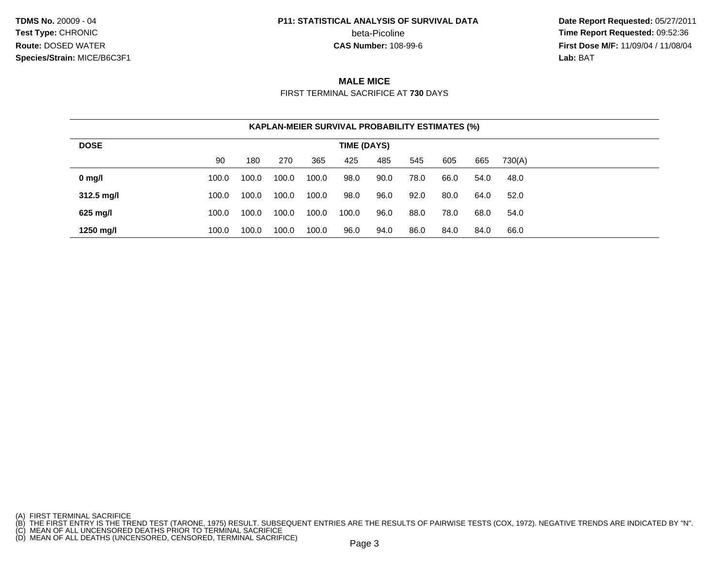**TDMS No.** 20009 - 04**Test Type:** CHRONIC**Route:** DOSED WATER**Species/Strain:** MICE/B6C3F1

#### **P11: STATISTICAL ANALYSIS OF SURVIVAL DATA**

beta-Picoline<br>CAS Number: 108-99-6

 **Date Report Requested:** 05/27/2011 **Time Report Requested:** 09:52:36 **First Dose M/F:** 11/09/04 / 11/08/04<br>**Lab:** BAT **Lab:** BAT

## **MALE MICE**

FIRST TERMINAL SACRIFICE AT **730** DAYS

| <b>KAPLAN-MEIER SURVIVAL PROBABILITY ESTIMATES (%)</b> |             |       |       |       |       |      |      |      |      |        |  |  |  |
|--------------------------------------------------------|-------------|-------|-------|-------|-------|------|------|------|------|--------|--|--|--|
| <b>DOSE</b>                                            | TIME (DAYS) |       |       |       |       |      |      |      |      |        |  |  |  |
|                                                        | 90          | 180   | 270   | 365   | 425   | 485  | 545  | 605  | 665  | 730(A) |  |  |  |
| $0$ mg/l                                               | 100.0       | 100.0 | 100.0 | 100.0 | 98.0  | 90.0 | 78.0 | 66.0 | 54.0 | 48.0   |  |  |  |
| $312.5 \text{ mg/l}$                                   | 100.0       | 100.0 | 100.0 | 100.0 | 98.0  | 96.0 | 92.0 | 80.0 | 64.0 | 52.0   |  |  |  |
| 625 mg/l                                               | 100.0       | 100.0 | 100.0 | 100.0 | 100.0 | 96.0 | 88.0 | 78.0 | 68.0 | 54.0   |  |  |  |
| 1250 mg/l                                              | 100.0       | 100.0 | 100.0 | 100.0 | 96.0  | 94.0 | 86.0 | 84.0 | 84.0 | 66.0   |  |  |  |

- 
- 

<sup>(</sup>A) FIRST TERMINAL SACRIFICE<br>(B) THE FIRST ENTRY IS THE TREND TEST (TARONE, 1975) RESULT. SUBSEQUENT ENTRIES ARE THE RESULTS OF PAIRWISE TESTS (COX, 1972). NEGATIVE TRENDS ARE INDICATED BY "N".<br>(C) MEAN OF ALL UNCENSORED D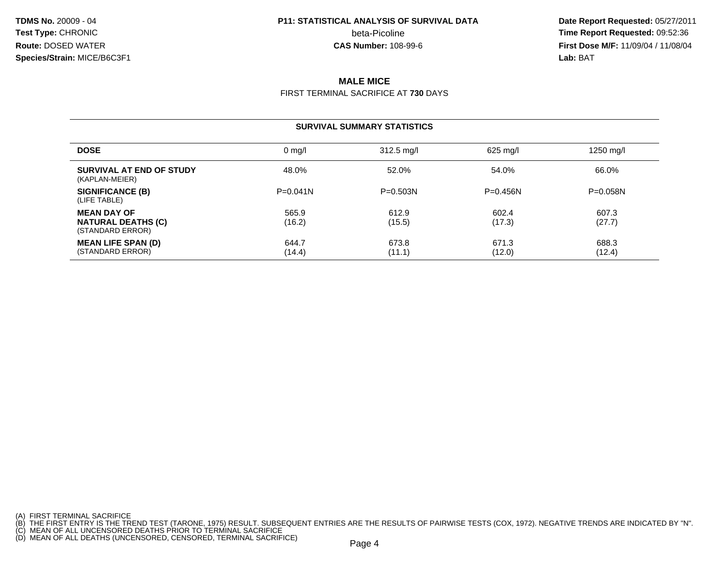**TDMS No.** 20009 - 04**Test Type:** CHRONIC beta-Picoline**Route:** DOSED WATER**Species/Strain:** MICE/B6C3F1

# **P11: STATISTICAL ANALYSIS OF SURVIVAL DATA**

 **Date Report Requested:** 05/27/2011 **beta-Picoline**<br>**CAS Number:** 108-99-6<br>**CAS Number:** 108-99-6<br>**Time Report Requested:** 09:52:36<br>**First Dose M/F:** 11/09/04 / 11/08/04 **First Dose M/F:** 11/09/04 / 11/08/04<br>**Lab:** BAT **Lab:** BAT

# **MALE MICE**

FIRST TERMINAL SACRIFICE AT **730** DAYS

#### **SURVIVAL SUMMARY STATISTICS**

| <b>DOSE</b>                                                         | $0 \text{ mq/l}$ | $312.5$ mg/l    | 625 mg/l        | 1250 mg/l       |
|---------------------------------------------------------------------|------------------|-----------------|-----------------|-----------------|
| SURVIVAL AT END OF STUDY<br>(KAPLAN-MEIER)                          | 48.0%            | 52.0%           | 54.0%           | 66.0%           |
| <b>SIGNIFICANCE (B)</b><br>(LIFE TABLE)                             | $P = 0.041N$     | $P = 0.503N$    | $P = 0.456N$    | $P = 0.058N$    |
| <b>MEAN DAY OF</b><br><b>NATURAL DEATHS (C)</b><br>(STANDARD ERROR) | 565.9<br>(16.2)  | 612.9<br>(15.5) | 602.4<br>(17.3) | 607.3<br>(27.7) |
| <b>MEAN LIFE SPAN (D)</b><br>(STANDARD ERROR)                       | 644.7<br>(14.4)  | 673.8<br>(11.1) | 671.3<br>(12.0) | 688.3<br>(12.4) |

<sup>(</sup>A) FIRST TERMINAL SACRIFICE<br>(B) THE FIRST ENTRY IS THE TREND TEST (TARONE, 1975) RESULT. SUBSEQUENT ENTRIES ARE THE RESULTS OF PAIRWISE TESTS (COX, 1972). NEGATIVE TRENDS ARE INDICATED BY "N".<br>(C) MEAN OF ALL UNCENSORED D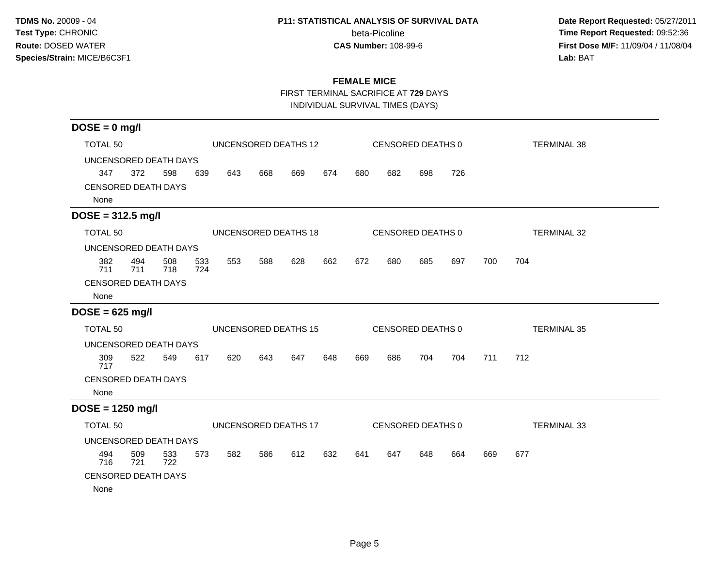### **P11: STATISTICAL ANALYSIS OF SURVIVAL DATA**

beta-Picoline<br>CAS Number: 108-99-6

 **Date Report Requested:** 05/27/2011 **Time Report Requested:** 09:52:36 **First Dose M/F:** 11/09/04 / 11/08/04<br>Lab: BAT **Lab:** BAT

# **FEMALE MICE**

FIRST TERMINAL SACRIFICE AT **729** DAYS

INDIVIDUAL SURVIVAL TIMES (DAYS)

| $DOSE = 0$ mg/l                         |            |            |            |     |     |                      |     |     |                   |     |     |     |                    |
|-----------------------------------------|------------|------------|------------|-----|-----|----------------------|-----|-----|-------------------|-----|-----|-----|--------------------|
| <b>TOTAL 50</b><br>UNCENSORED DEATHS 12 |            |            |            |     |     |                      |     |     | CENSORED DEATHS 0 |     |     |     | <b>TERMINAL 38</b> |
| UNCENSORED DEATH DAYS                   |            |            |            |     |     |                      |     |     |                   |     |     |     |                    |
| 347                                     | 372        | 598        | 639        | 643 | 668 | 669                  | 674 | 680 | 682               | 698 | 726 |     |                    |
| <b>CENSORED DEATH DAYS</b><br>None      |            |            |            |     |     |                      |     |     |                   |     |     |     |                    |
| $DOSE = 312.5$ mg/l                     |            |            |            |     |     |                      |     |     |                   |     |     |     |                    |
| <b>TOTAL 50</b>                         |            |            |            |     |     | UNCENSORED DEATHS 18 |     |     | CENSORED DEATHS 0 |     |     |     | <b>TERMINAL 32</b> |
| UNCENSORED DEATH DAYS                   |            |            |            |     |     |                      |     |     |                   |     |     |     |                    |
| 382<br>711                              | 494<br>711 | 508<br>718 | 533<br>724 | 553 | 588 | 628                  | 662 | 672 | 680               | 685 | 697 | 700 | 704                |
| <b>CENSORED DEATH DAYS</b><br>None      |            |            |            |     |     |                      |     |     |                   |     |     |     |                    |
| $DOSE = 625$ mg/l                       |            |            |            |     |     |                      |     |     |                   |     |     |     |                    |
| <b>TOTAL 50</b>                         |            |            |            |     |     | UNCENSORED DEATHS 15 |     |     | CENSORED DEATHS 0 |     |     |     | <b>TERMINAL 35</b> |
| UNCENSORED DEATH DAYS                   |            |            |            |     |     |                      |     |     |                   |     |     |     |                    |
| 309<br>717                              | 522        | 549        | 617        | 620 | 643 | 647                  | 648 | 669 | 686               | 704 | 704 | 711 | 712                |
| <b>CENSORED DEATH DAYS</b>              |            |            |            |     |     |                      |     |     |                   |     |     |     |                    |
| None                                    |            |            |            |     |     |                      |     |     |                   |     |     |     |                    |
| $DOSE = 1250$ mg/l                      |            |            |            |     |     |                      |     |     |                   |     |     |     |                    |
| <b>TOTAL 50</b>                         |            |            |            |     |     | UNCENSORED DEATHS 17 |     |     | CENSORED DEATHS 0 |     |     |     | <b>TERMINAL 33</b> |
| UNCENSORED DEATH DAYS                   |            |            |            |     |     |                      |     |     |                   |     |     |     |                    |
| 494<br>716                              | 509<br>721 | 533<br>722 | 573        | 582 | 586 | 612                  | 632 | 641 | 647               | 648 | 664 | 669 | 677                |
| <b>CENSORED DEATH DAYS</b>              |            |            |            |     |     |                      |     |     |                   |     |     |     |                    |
| None                                    |            |            |            |     |     |                      |     |     |                   |     |     |     |                    |
|                                         |            |            |            |     |     |                      |     |     |                   |     |     |     |                    |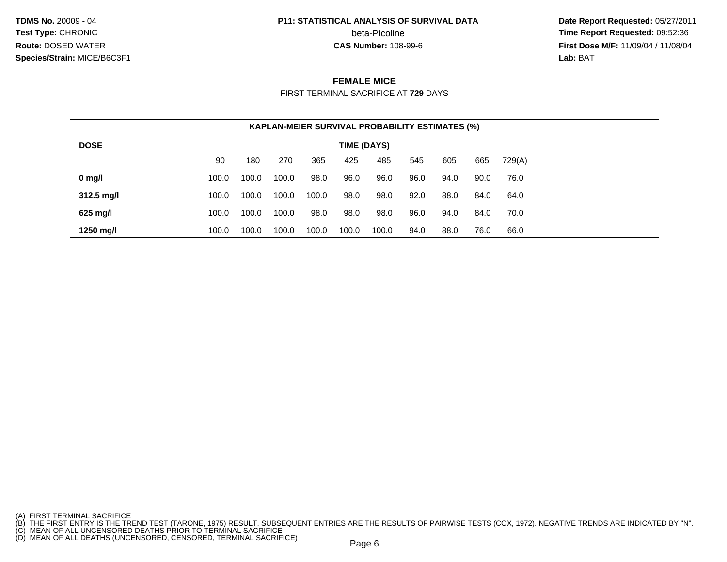**TDMS No.** 20009 - 04**Test Type:** CHRONIC**Route:** DOSED WATER**Species/Strain:** MICE/B6C3F1

#### **P11: STATISTICAL ANALYSIS OF SURVIVAL DATA**

beta-Picoline<br>CAS Number: 108-99-6

 **Date Report Requested:** 05/27/2011 **Time Report Requested:** 09:52:36 **First Dose M/F:** 11/09/04 / 11/08/04<br>**Lab:** BAT **Lab:** BAT

### **FEMALE MICE**

FIRST TERMINAL SACRIFICE AT **729** DAYS

| <b>KAPLAN-MEIER SURVIVAL PROBABILITY ESTIMATES (%)</b> |             |       |       |       |       |       |      |      |      |        |  |  |  |  |
|--------------------------------------------------------|-------------|-------|-------|-------|-------|-------|------|------|------|--------|--|--|--|--|
| <b>DOSE</b>                                            | TIME (DAYS) |       |       |       |       |       |      |      |      |        |  |  |  |  |
|                                                        | 90          | 180   | 270   | 365   | 425   | 485   | 545  | 605  | 665  | 729(A) |  |  |  |  |
| $0$ mg/l                                               | 100.0       | 100.0 | 100.0 | 98.0  | 96.0  | 96.0  | 96.0 | 94.0 | 90.0 | 76.0   |  |  |  |  |
| $312.5$ mg/l                                           | 100.0       | 100.0 | 100.0 | 100.0 | 98.0  | 98.0  | 92.0 | 88.0 | 84.0 | 64.0   |  |  |  |  |
| 625 mg/l                                               | 100.0       | 100.0 | 100.0 | 98.0  | 98.0  | 98.0  | 96.0 | 94.0 | 84.0 | 70.0   |  |  |  |  |
| 1250 mg/l                                              | 100.0       | 100.0 | 100.0 | 100.0 | 100.0 | 100.0 | 94.0 | 88.0 | 76.0 | 66.0   |  |  |  |  |

- 
- 

<sup>(</sup>A) FIRST TERMINAL SACRIFICE<br>(B) THE FIRST ENTRY IS THE TREND TEST (TARONE, 1975) RESULT. SUBSEQUENT ENTRIES ARE THE RESULTS OF PAIRWISE TESTS (COX, 1972). NEGATIVE TRENDS ARE INDICATED BY "N".<br>(C) MEAN OF ALL UNCENSORED D